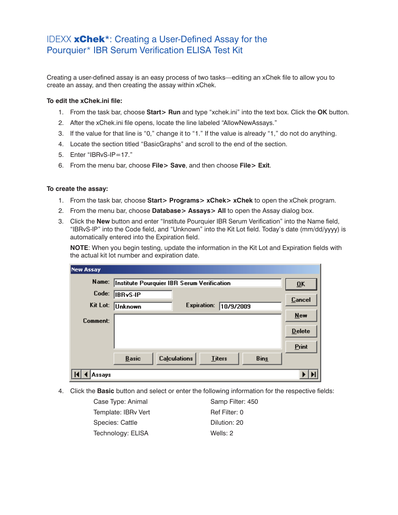## IDEXX xChek\*: Creating a User-Defined Assay for the Pourquier\* IBR Serum Verification ELISA Test Kit

Creating a user-defined assay is an easy process of two tasks—editing an xChek file to allow you to create an assay, and then creating the assay within xChek.

## **To edit the xChek.ini file:**

- 1. From the task bar, choose **Start> Run** and type "xchek.ini" into the text box. Click the **OK** button.
- 2. After the xChek.ini file opens, locate the line labeled "AllowNewAssays."
- 3. If the value for that line is "0," change it to "1." If the value is already "1," do not do anything.
- 4. Locate the section titled "BasicGraphs" and scroll to the end of the section.
- 5. Enter "IBRvS-IP=17."
- 6. From the menu bar, choose **File> Save**, and then choose **File> Exit**.

## **To create the assay:**

- 1. From the task bar, choose **Start> Programs> xChek> xChek** to open the xChek program.
- 2. From the menu bar, choose **Database> Assays> All** to open the Assay dialog box.
- 3. Click the **New** button and enter "Institute Pourquier IBR Serum Verification" into the Name field, "IBRvS-IP" into the Code field, and "Unknown" into the Kit Lot field. Today's date (mm/dd/yyyy) is automatically entered into the Expiration field.

**NOTE:** When you begin testing, update the information in the Kit Lot and Expiration fields with the actual kit lot number and expiration date.

| <b>New Assay</b> |                                            |                           |               |             |               |
|------------------|--------------------------------------------|---------------------------|---------------|-------------|---------------|
| Name:            | Institute Pourquier IBR Serum Verification | $\overline{\mathbf{U}}$ K |               |             |               |
| Code:            | <b>IBRyS-IP</b>                            |                           |               |             | Cancel        |
| Kit Lot:         | Unknown                                    | <b>Expiration:</b>        | 10/9/2009     |             |               |
| Comment:         |                                            |                           |               |             | New           |
|                  |                                            |                           |               |             | <b>Delete</b> |
|                  |                                            |                           |               |             | Print         |
|                  | <b>Basic</b>                               | <b>Calculations</b>       | <b>Titers</b> | <b>Bins</b> |               |
| Assavs           |                                            |                           |               |             |               |

4. Click the **Basic** button and select or enter the following information for the respective fields:

| Case Type: Animal   | Samp Filter: 450 |
|---------------------|------------------|
| Template: IBRv Vert | Ref Filter: 0    |
| Species: Cattle     | Dilution: 20     |
| Technology: ELISA   | Wells: 2         |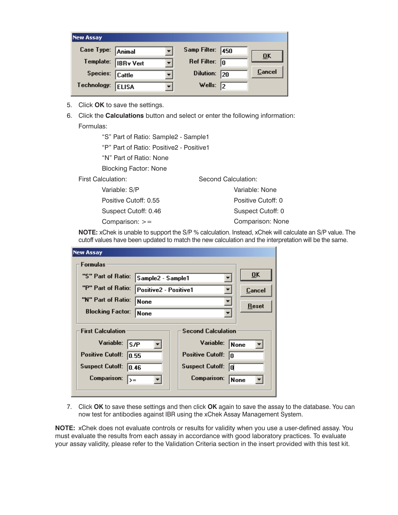| <b>New Assay</b>  |                    |                         |      |                           |
|-------------------|--------------------|-------------------------|------|---------------------------|
| Case Type: Animal |                    | Samp Filter:            | 1450 | $\overline{\mathbf{0}}$ K |
|                   | Template: BRy Vert | Ref Filter: $\boxed{0}$ |      |                           |
| Species: Cattle   |                    | Dilution:               | 20   | Cancel                    |
| Technology:       | <b>ELISA</b>       | Wells: $\sqrt{2}$       |      |                           |

- 5. Click **OK** to save the settings.
- 6. Click the **Calculations** button and select or enter the following information: Formulas:

"S" Part of Ratio: Sample2 - Sample1

"P" Part of Ratio: Positive2 - Positive1

"N" Part of Ratio: None

Blocking Factor: None

First Calculation:

 Variable: S/P Positive Cutoff: 0.55 Suspect Cutoff: 0.46 Comparison: >= Variable: None Positive Cutoff: 0 Suspect Cutoff: 0 Comparison: None

**NOTE:** xChek is unable to support the S/P % calculation. Instead, xChek will calculate an S/P value. The cutoff values have been updated to match the new calculation and the interpretation will be the same.

Second Calculation:

| <b>New Assay</b>                                      |                       |                              |                           |  |  |
|-------------------------------------------------------|-----------------------|------------------------------|---------------------------|--|--|
| <b>Formulas</b>                                       |                       |                              |                           |  |  |
| "S" Part of Ratio:                                    |                       |                              | $\overline{\mathbf{0}}$ K |  |  |
| "P" Part of Ratio:                                    | Positive2 - Positive1 |                              | <b>Cancel</b>             |  |  |
| "N" Part of Ratio:                                    | <b>None</b>           |                              | Reset                     |  |  |
| <b>Blocking Factor:</b>                               | <b>None</b>           |                              |                           |  |  |
| <b>Second Calculation</b><br><b>First Calculation</b> |                       |                              |                           |  |  |
| Variable:<br>ls /P                                    |                       | Variable:                    | <b>None</b>               |  |  |
| <b>Positive Cutoff:</b><br>10.55                      |                       | Positive Cutoff:<br>10       |                           |  |  |
| <b>Suspect Cutoff:</b><br> 0.46                       |                       | <b>Suspect Cutoff:</b><br>la |                           |  |  |
| <b>Comparison:</b>                                    |                       | <b>Comparison:</b>           | None                      |  |  |
|                                                       |                       | $>=$                         | Sample2 - Sample1         |  |  |

7. Click **OK** to save these settings and then click **OK** again to save the assay to the database. You can now test for antibodies against IBR using the xChek Assay Management System.

**NOTE:** xChek does not evaluate controls or results for validity when you use a user-defined assay. You must evaluate the results from each assay in accordance with good laboratory practices. To evaluate your assay validity, please refer to the Validation Criteria section in the insert provided with this test kit.